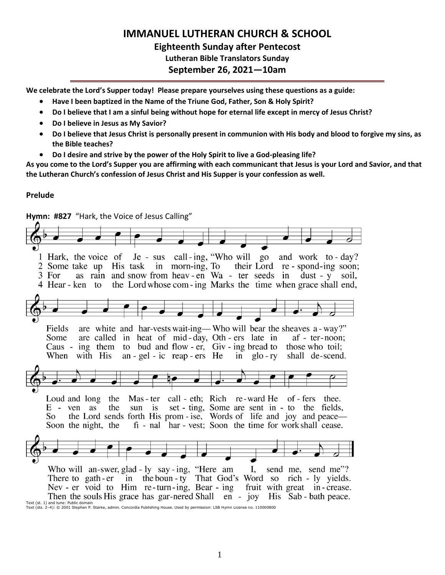# **IMMANUEL LUTHERAN CHURCH & SCHOOL Eighteenth Sunday after Pentecost Lutheran Bible Translators Sunday September 26, 2021—10am**

**We celebrate the Lord's Supper today! Please prepare yourselves using these questions as a guide:**

- **Have I been baptized in the Name of the Triune God, Father, Son & Holy Spirit?**
- **Do I believe that I am a sinful being without hope for eternal life except in mercy of Jesus Christ?**
- **Do I believe in Jesus as My Savior?**
- **Do I believe that Jesus Christ is personally present in communion with His body and blood to forgive my sins, as the Bible teaches?**
- **Do I desire and strive by the power of the Holy Spirit to live a God-pleasing life?**

**As you come to the Lord's Supper you are affirming with each communicant that Jesus is your Lord and Savior, and that the Lutheran Church's confession of Jesus Christ and His Supper is your confession as well.**

### **Prelude**

**Hymn: #827** "Hark, the Voice of Jesus Calling" Je - sus call-ing, "Who will go 1 Hark, the voice of and work to - day? their Lord re - spond-ing soon; 2 Some take up His task in morn-ing, To as rain and snow from heav-en Wa - ter seeds in dust - y soil, 3 For the Lord whose com-ing Marks the time when grace shall end, 4 Hear - ken to are white and har-vests wait-ing—Who will bear the sheaves a-way?" Fields are called in heat of mid-day, Oth-ers late in Some  $af - ter-noon;$ Caus - ing them to bud and flow-er,  $\overline{G}$ iv-ing bread to those who toil: When with His an - gel - ic reap -  $ers$  He in  $g$ lo - ry shall de-scend. Loud and long the Mas - ter call - eth; Rich re-ward He of - fers thee. set - ting, Some are sent in - to the fields,  $E - \text{ven}$ as the sun is the Lord sends forth His prom - ise, Words of life and joy and peace— So fi - nal har - vest; Soon the time for work shall cease. Soon the night, the Who will an-swer, glad - ly say - ing, "Here am I. send me, send me"? There to gath-er in the boun-ty That God's Word so rich - ly yields. Nev - er void to Him re-turn-ing, Bear - ing fruit with great in-crease. Then the souls His grace has gar-nered Shall en - joy His Sab - bath peace. Text (st. 1) and tune: Public domain

Text (sts. 2–4): © 2001 Stephen P. Starke, admin. Concordia Publishing House. Used by permission: LSB Hymn License no. 110000800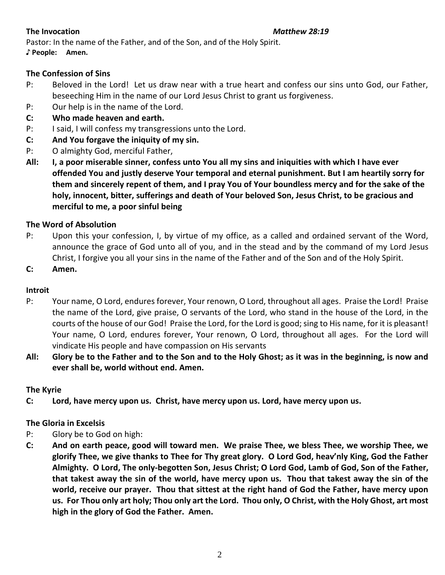Pastor: In the name of the Father, and of the Son, and of the Holy Spirit. **♪ People: Amen.**

# **The Confession of Sins**

- P: Beloved in the Lord! Let us draw near with a true heart and confess our sins unto God, our Father, beseeching Him in the name of our Lord Jesus Christ to grant us forgiveness.
- P: Our help is in the name of the Lord.
- **C: Who made heaven and earth.**
- P: I said, I will confess my transgressions unto the Lord.
- **C: And You forgave the iniquity of my sin.**
- P: O almighty God, merciful Father,
- **All: I, a poor miserable sinner, confess unto You all my sins and iniquities with which I have ever offended You and justly deserve Your temporal and eternal punishment. But I am heartily sorry for them and sincerely repent of them, and I pray You of Your boundless mercy and for the sake of the holy, innocent, bitter, sufferings and death of Your beloved Son, Jesus Christ, to be gracious and merciful to me, a poor sinful being**

# **The Word of Absolution**

- P: Upon this your confession, I, by virtue of my office, as a called and ordained servant of the Word, announce the grace of God unto all of you, and in the stead and by the command of my Lord Jesus Christ, I forgive you all your sins in the name of the Father and of the Son and of the Holy Spirit.
- **C: Amen.**

# **Introit**

- P: Your name, O Lord, endures forever, Your renown, O Lord, throughout all ages. Praise the Lord! Praise the name of the Lord, give praise, O servants of the Lord, who stand in the house of the Lord, in the courts of the house of our God! Praise the Lord, for the Lord is good; sing to His name, for it is pleasant! Your name, O Lord, endures forever, Your renown, O Lord, throughout all ages. For the Lord will vindicate His people and have compassion on His servants
- **All: Glory be to the Father and to the Son and to the Holy Ghost; as it was in the beginning, is now and ever shall be, world without end. Amen.**

# **The Kyrie**

**C: Lord, have mercy upon us. Christ, have mercy upon us. Lord, have mercy upon us.**

# **The Gloria in Excelsis**

- P: Glory be to God on high:
- **C: And on earth peace, good will toward men. We praise Thee, we bless Thee, we worship Thee, we glorify Thee, we give thanks to Thee for Thy great glory. O Lord God, heav'nly King, God the Father Almighty. O Lord, The only-begotten Son, Jesus Christ; O Lord God, Lamb of God, Son of the Father, that takest away the sin of the world, have mercy upon us. Thou that takest away the sin of the world, receive our prayer. Thou that sittest at the right hand of God the Father, have mercy upon us. For Thou only art holy; Thou only art the Lord. Thou only, O Christ, with the Holy Ghost, art most high in the glory of God the Father. Amen.**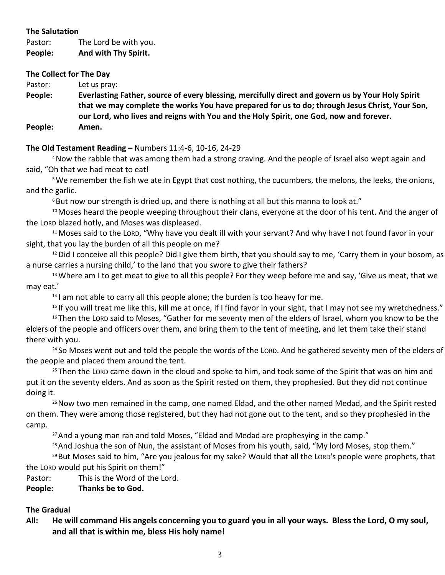### **The Salutation**

Pastor: The Lord be with you. **People: And with Thy Spirit.**

### **The Collect for The Day**

Pastor: Let us pray:

**People: Everlasting Father, source of every blessing, mercifully direct and govern us by Your Holy Spirit that we may complete the works You have prepared for us to do; through Jesus Christ, Your Son, our Lord, who lives and reigns with You and the Holy Spirit, one God, now and forever. People: Amen.**

## **The Old Testament Reading –** Numbers 11:4-6, 10-16, 24-29

<sup>4</sup>Now the rabble that was among them had a strong craving. And the people of Israel also wept again and said, "Oh that we had meat to eat!

<sup>5</sup>We remember the fish we ate in Egypt that cost nothing, the cucumbers, the melons, the leeks, the onions, and the garlic.

 $6$ But now our strength is dried up, and there is nothing at all but this manna to look at."

<sup>10</sup> Moses heard the people weeping throughout their clans, everyone at the door of his tent. And the anger of the LORD blazed hotly, and Moses was displeased.

<sup>11</sup> Moses said to the LORD, "Why have you dealt ill with your servant? And why have I not found favor in your sight, that you lay the burden of all this people on me?

 $12$  Did I conceive all this people? Did I give them birth, that you should say to me, 'Carry them in your bosom, as a nurse carries a nursing child,' to the land that you swore to give their fathers?

<sup>13</sup> Where am I to get meat to give to all this people? For they weep before me and say, 'Give us meat, that we may eat.'

 $14$  I am not able to carry all this people alone; the burden is too heavy for me.

<sup>15</sup> If you will treat me like this, kill me at once, if I find favor in your sight, that I may not see my wretchedness." <sup>16</sup> Then the LORD said to Moses, "Gather for me seventy men of the elders of Israel, whom you know to be the

elders of the people and officers over them, and bring them to the tent of meeting, and let them take their stand there with you.

<sup>24</sup> So Moses went out and told the people the words of the LORD. And he gathered seventy men of the elders of the people and placed them around the tent.

<sup>25</sup> Then the LORD came down in the cloud and spoke to him, and took some of the Spirit that was on him and put it on the seventy elders. And as soon as the Spirit rested on them, they prophesied. But they did not continue doing it.

<sup>26</sup> Now two men remained in the camp, one named Eldad, and the other named Medad, and the Spirit rested on them. They were among those registered, but they had not gone out to the tent, and so they prophesied in the camp.

 $27$  And a young man ran and told Moses, "Eldad and Medad are prophesying in the camp."

 $28$  And Joshua the son of Nun, the assistant of Moses from his youth, said, "My lord Moses, stop them."

<sup>29</sup> But Moses said to him, "Are you jealous for my sake? Would that all the LORD's people were prophets, that the LORD would put his Spirit on them!"

Pastor: This is the Word of the Lord.

**People: Thanks be to God.**

## **The Gradual**

**All: He will command His angels concerning you to guard you in all your ways. Bless the Lord, O my soul, and all that is within me, bless His holy name!**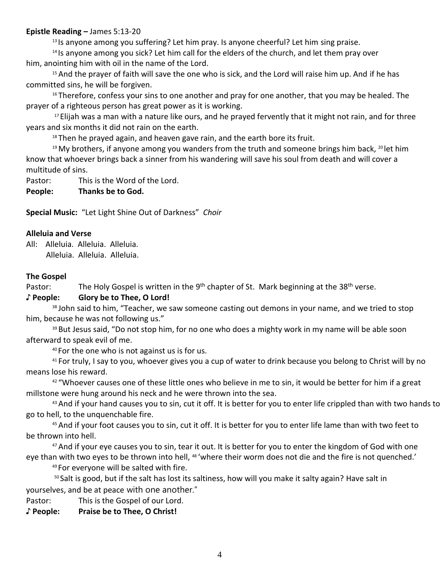### **Epistle Reading –** James 5:13-20

<sup>13</sup> Is anyone among you suffering? Let him pray. Is anyone cheerful? Let him sing praise.

<sup>14</sup> Is anyone among you sick? Let him call for the elders of the church, and let them pray over him, anointing him with oil in the name of the Lord.

<sup>15</sup> And the prayer of faith will save the one who is sick, and the Lord will raise him up. And if he has committed sins, he will be forgiven.

<sup>16</sup> Therefore, confess your sins to one another and pray for one another, that you may be healed. The prayer of a righteous person has great power as it is working.

<sup>17</sup> Elijah was a man with a nature like ours, and he prayed fervently that it might not rain, and for three years and six months it did not rain on the earth.

 $18$  Then he prayed again, and heaven gave rain, and the earth bore its fruit.

<sup>19</sup> My brothers, if anyone among you wanders from the truth and someone brings him back,  $^{20}$  let him know that whoever brings back a sinner from his wandering will save his soul from death and will cover a multitude of sins.

Pastor: This is the Word of the Lord.

**People: Thanks be to God.**

**Special Music:** "Let Light Shine Out of Darkness" *Choir*

### **Alleluia and Verse**

All: Alleluia. Alleluia. Alleluia. Alleluia. Alleluia. Alleluia.

### **The Gospel**

Pastor: The Holy Gospel is written in the 9<sup>th</sup> chapter of St. Mark beginning at the 38<sup>th</sup> verse.

### **♪ People: Glory be to Thee, O Lord!**

<sup>38</sup> John said to him, "Teacher, we saw someone casting out demons in your name, and we tried to stop him, because he was not following us."

<sup>39</sup> But Jesus said, "Do not stop him, for no one who does a mighty work in my name will be able soon afterward to speak evil of me.

<sup>40</sup> For the one who is not against us is for us.

<sup>41</sup> For truly, I say to you, whoever gives you a cup of water to drink because you belong to Christ will by no means lose his reward.

<sup>42</sup> "Whoever causes one of these little ones who believe in me to sin, it would be better for him if a great millstone were hung around his neck and he were thrown into the sea.

 $43$  And if your hand causes you to sin, cut it off. It is better for you to enter life crippled than with two hands to go to hell, to the unquenchable fire.

45 And if your foot causes you to sin, cut it off. It is better for you to enter life lame than with two feet to be thrown into hell.

<sup>47</sup> And if your eye causes you to sin, tear it out. It is better for you to enter the kingdom of God with one eye than with two eyes to be thrown into hell, <sup>48</sup> 'where their worm does not die and the fire is not quenched.'

<sup>49</sup> For everyone will be salted with fire.

50 Salt is good, but if the salt has lost its saltiness, how will you make it salty again? Have salt in yourselves, and be at peace with one another."

Pastor: This is the Gospel of our Lord.

**♪ People: Praise be to Thee, O Christ!**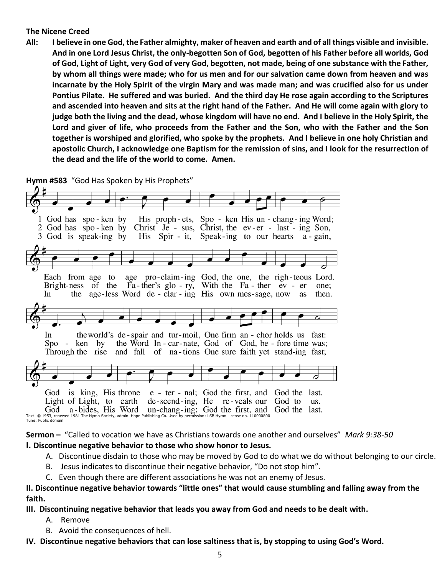### **The Nicene Creed**

**All: I believe in one God, the Father almighty, maker of heaven and earth and of all things visible and invisible. And in one Lord Jesus Christ, the only-begotten Son of God, begotten of his Father before all worlds, God of God, Light of Light, very God of very God, begotten, not made, being of one substance with the Father, by whom all things were made; who for us men and for our salvation came down from heaven and was incarnate by the Holy Spirit of the virgin Mary and was made man; and was crucified also for us under Pontius Pilate. He suffered and was buried. And the third day He rose again according to the Scriptures and ascended into heaven and sits at the right hand of the Father. And He will come again with glory to judge both the living and the dead, whose kingdom will have no end. And I believe in the Holy Spirit, the Lord and giver of life, who proceeds from the Father and the Son, who with the Father and the Son together is worshiped and glorified, who spoke by the prophets. And I believe in one holy Christian and apostolic Church, I acknowledge one Baptism for the remission of sins, and I look for the resurrection of the dead and the life of the world to come. Amen.**

**Hymn #583** "God Has Spoken by His Prophets"



Tune: Public domain

**Sermon –** "Called to vocation we have as Christians towards one another and ourselves" *Mark 9:38-50* **I. Discontinue negative behavior to those who show honor to Jesus.**

- A. Discontinue disdain to those who may be moved by God to do what we do without belonging to our circle.
- B. Jesus indicates to discontinue their negative behavior, "Do not stop him".
- C. Even though there are different associations he was not an enemy of Jesus.

## **II. Discontinue negative behavior towards "little ones" that would cause stumbling and falling away from the faith.**

**III. Discontinuing negative behavior that leads you away from God and needs to be dealt with.**

- A. Remove
- B. Avoid the consequences of hell.

**IV. Discontinue negative behaviors that can lose saltiness that is, by stopping to using God's Word.**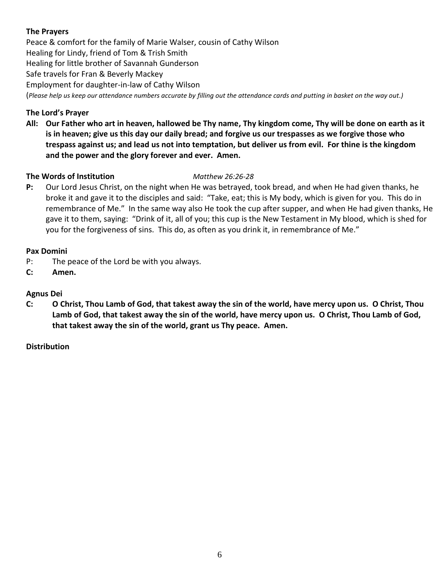# **The Prayers**

Peace & comfort for the family of Marie Walser, cousin of Cathy Wilson Healing for Lindy, friend of Tom & Trish Smith Healing for little brother of Savannah Gunderson Safe travels for Fran & Beverly Mackey Employment for daughter-in-law of Cathy Wilson (*Please help us keep our attendance numbers accurate by filling out the attendance cards and putting in basket on the way out.)*

## **The Lord's Prayer**

**All: Our Father who art in heaven, hallowed be Thy name, Thy kingdom come, Thy will be done on earth as it is in heaven; give us this day our daily bread; and forgive us our trespasses as we forgive those who trespass against us; and lead us not into temptation, but deliver us from evil. For thine is the kingdom and the power and the glory forever and ever. Amen.**

## **The Words of Institution** *Matthew 26:26-28*

**P:** Our Lord Jesus Christ, on the night when He was betrayed, took bread, and when He had given thanks, he broke it and gave it to the disciples and said: "Take, eat; this is My body, which is given for you. This do in remembrance of Me." In the same way also He took the cup after supper, and when He had given thanks, He gave it to them, saying: "Drink of it, all of you; this cup is the New Testament in My blood, which is shed for you for the forgiveness of sins. This do, as often as you drink it, in remembrance of Me."

## **Pax Domini**

- P: The peace of the Lord be with you always.
- **C: Amen.**

## **Agnus Dei**

**C: O Christ, Thou Lamb of God, that takest away the sin of the world, have mercy upon us. O Christ, Thou Lamb of God, that takest away the sin of the world, have mercy upon us. O Christ, Thou Lamb of God, that takest away the sin of the world, grant us Thy peace. Amen.**

## **Distribution**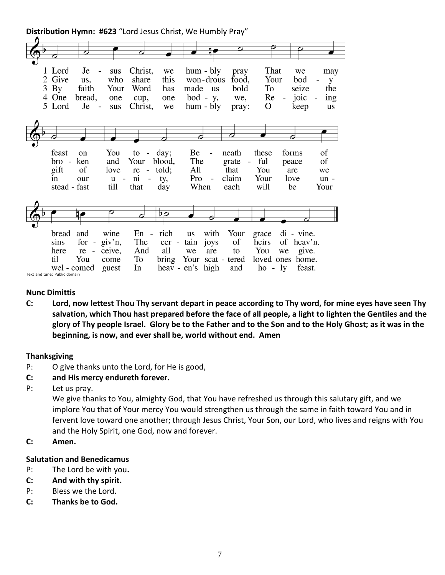**Distribution Hymn: #623** "Lord Jesus Christ, We Humbly Pray"

| 7                                                                                                          |                                                     |                                                                                                               |                                |                                                                                         |                                                                     |                                                                     |                                               |                                  |
|------------------------------------------------------------------------------------------------------------|-----------------------------------------------------|---------------------------------------------------------------------------------------------------------------|--------------------------------|-----------------------------------------------------------------------------------------|---------------------------------------------------------------------|---------------------------------------------------------------------|-----------------------------------------------|----------------------------------|
|                                                                                                            |                                                     |                                                                                                               |                                |                                                                                         |                                                                     |                                                                     |                                               |                                  |
| 1 Lord<br>Je<br>2 Give<br>us,<br>$3$ By<br>faith<br>4 One<br>bread,<br>5 Lord<br>Je                        | sus<br>who<br>Your<br>one<br>$\sim$<br>sus          | Christ,<br>share<br>Word<br>cup,<br>Christ,                                                                   | we<br>this<br>has<br>one<br>we | $hum - bly$<br>won-drous<br>made us<br>$bod - y$ ,<br>$hum - bly$                       | pray<br>food,<br>bold<br>we,<br>pray:                               | That<br>Your<br>To<br>Re<br>$\overline{\phantom{a}}$<br>$\mathbf O$ | we<br>bod<br>seize<br>joic<br>keep            | may<br>y<br>the<br>ing<br>us     |
|                                                                                                            |                                                     |                                                                                                               |                                |                                                                                         | ♂                                                                   |                                                                     |                                               |                                  |
| feast<br>on<br>ken<br>bro -<br>gift<br>of<br>our<br>1n<br>stead - fast                                     | You<br>and<br>love<br>$u -$<br>till                 | to<br>$\overline{\phantom{a}}$<br>Your<br>- told;<br>re<br>n <sub>1</sub><br>$\overline{\phantom{0}}$<br>that | day;<br>blood,<br>ty,<br>day   | Be<br>$\overline{\phantom{a}}$<br>The<br>All<br>Pro<br>$\overline{\phantom{a}}$<br>When | neath<br>grate<br>$\overline{\phantom{a}}$<br>that<br>claim<br>each | these<br>ful<br>You<br>Your<br>will                                 | forms<br>peace<br>are<br>love<br>be           | of<br>of<br>we<br>$un -$<br>Your |
|                                                                                                            |                                                     |                                                                                                               |                                |                                                                                         |                                                                     |                                                                     |                                               |                                  |
| bread<br>and<br>$for -$<br>sins<br>here<br>re<br>til<br>You<br>wel - comed<br>Text and tune: Public domain | wine<br>giv'n,<br>ceive,<br>$\sim$<br>come<br>guest | $En -$<br>The<br>And<br>To<br>In                                                                              | rich<br>cer -<br>all           | with<br>us<br>tain<br>joys<br>we<br>are<br>bring Your scat - tered<br>heav - en's high  | Your<br>of<br>to<br>and                                             | grace<br>heirs<br>You<br>we<br>loved ones home.<br>$ho - ly$        | $di - vine.$<br>of heav'n.<br>give.<br>feast. |                                  |

### **Nunc Dimittis**

**C: Lord, now lettest Thou Thy servant depart in peace according to Thy word, for mine eyes have seen Thy salvation, which Thou hast prepared before the face of all people, a light to lighten the Gentiles and the glory of Thy people Israel. Glory be to the Father and to the Son and to the Holy Ghost; as it was in the beginning, is now, and ever shall be, world without end. Amen**

### **Thanksgiving**

- P: O give thanks unto the Lord, for He is good,
- **C: and His mercy endureth forever.**
- P: Let us pray.

We give thanks to You, almighty God, that You have refreshed us through this salutary gift, and we implore You that of Your mercy You would strengthen us through the same in faith toward You and in fervent love toward one another; through Jesus Christ, Your Son, our Lord, who lives and reigns with You and the Holy Spirit, one God, now and forever.

**C: Amen.**

### **Salutation and Benedicamus**

- P: The Lord be with you**.**
- **C: And with thy spirit.**
- P: Bless we the Lord.
- **C: Thanks be to God.**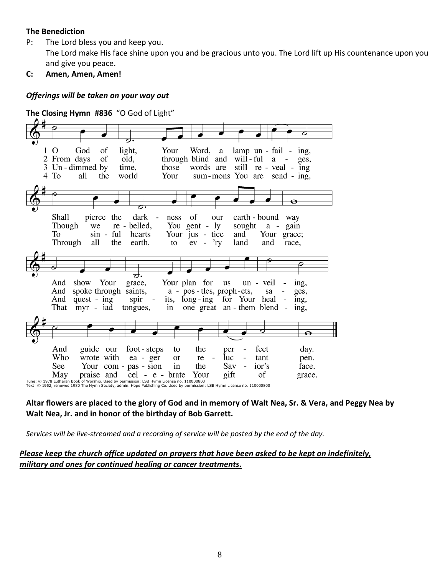### **The Benediction**

- P: The Lord bless you and keep you. The Lord make His face shine upon you and be gracious unto you. The Lord lift up His countenance upon you and give you peace.
- **C: Amen, Amen, Amen!**

### *Offerings will be taken on your way out*

**The Closing Hymn #836** "O God of Light"



Tune: © 1978 Lutheran Book of Worship. Used by permission: LSB Hymn License no. 110000800<br>Text: © 1952, renewed 1980 The Hymn Society, admin. Hope Publishing Co. Used by permission: LSB Hymn License no. 110000800

### **Altar flowers are placed to the glory of God and in memory of Walt Nea, Sr. & Vera, and Peggy Nea by Walt Nea, Jr. and in honor of the birthday of Bob Garrett.**

*Services will be live-streamed and a recording of service will be posted by the end of the day.* 

## *Please keep the church office updated on prayers that have been asked to be kept on indefinitely, military and ones for continued healing or cancer treatments.*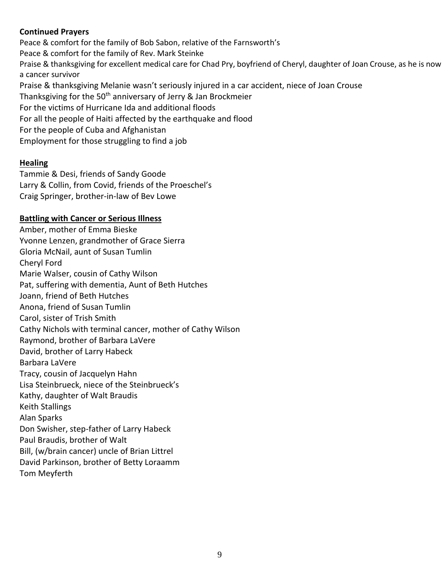# **Continued Prayers**

Peace & comfort for the family of Bob Sabon, relative of the Farnsworth's Peace & comfort for the family of Rev. Mark Steinke Praise & thanksgiving for excellent medical care for Chad Pry, boyfriend of Cheryl, daughter of Joan Crouse, as he is now a cancer survivor Praise & thanksgiving Melanie wasn't seriously injured in a car accident, niece of Joan Crouse Thanksgiving for the 50<sup>th</sup> anniversary of Jerry & Jan Brockmeier For the victims of Hurricane Ida and additional floods For all the people of Haiti affected by the earthquake and flood For the people of Cuba and Afghanistan Employment for those struggling to find a job

# **Healing**

Tammie & Desi, friends of Sandy Goode Larry & Collin, from Covid, friends of the Proeschel's Craig Springer, brother-in-law of Bev Lowe

## **Battling with Cancer or Serious Illness**

Amber, mother of Emma Bieske Yvonne Lenzen, grandmother of Grace Sierra Gloria McNail, aunt of Susan Tumlin Cheryl Ford Marie Walser, cousin of Cathy Wilson Pat, suffering with dementia, Aunt of Beth Hutches Joann, friend of Beth Hutches Anona, friend of Susan Tumlin Carol, sister of Trish Smith Cathy Nichols with terminal cancer, mother of Cathy Wilson Raymond, brother of Barbara LaVere David, brother of Larry Habeck Barbara LaVere Tracy, cousin of Jacquelyn Hahn Lisa Steinbrueck, niece of the Steinbrueck's Kathy, daughter of Walt Braudis Keith Stallings Alan Sparks Don Swisher, step-father of Larry Habeck Paul Braudis, brother of Walt Bill, (w/brain cancer) uncle of Brian Littrel David Parkinson, brother of Betty Loraamm Tom Meyferth